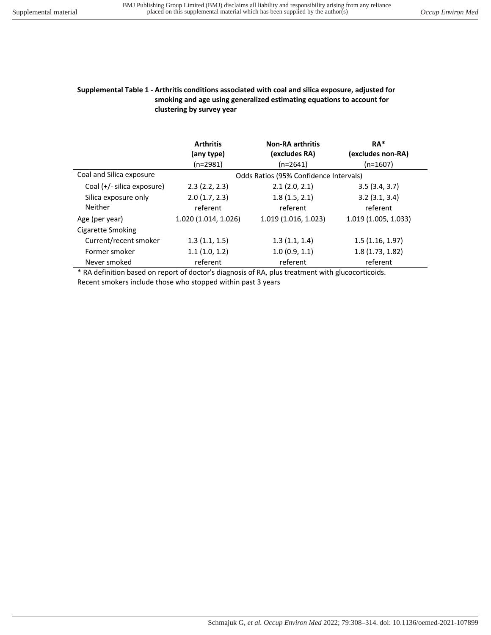## **Supplemental Table 1 - Arthritis conditions associated with coal and silica exposure, adjusted for smoking and age using generalized estimating equations to account for clustering by survey year**

|                            | <b>Arthritis</b><br>(any type)         | <b>Non-RA arthritis</b><br>(excludes RA) | RA*<br>(excludes non-RA) |
|----------------------------|----------------------------------------|------------------------------------------|--------------------------|
|                            | $(n=2981)$                             | $(n=2641)$                               | $(n=1607)$               |
| Coal and Silica exposure   | Odds Ratios (95% Confidence Intervals) |                                          |                          |
| Coal (+/- silica exposure) | 2.3(2.2, 2.3)                          | 2.1(2.0, 2.1)                            | 3.5(3.4, 3.7)            |
| Silica exposure only       | 2.0(1.7, 2.3)                          | 1.8(1.5, 2.1)                            | 3.2(3.1, 3.4)            |
| Neither                    | referent                               | referent                                 | referent                 |
| Age (per year)             | 1.020 (1.014, 1.026)                   | 1.019 (1.016, 1.023)                     | 1.019 (1.005, 1.033)     |
| Cigarette Smoking          |                                        |                                          |                          |
| Current/recent smoker      | 1.3(1.1, 1.5)                          | 1.3(1.1, 1.4)                            | 1.5(1.16, 1.97)          |
| Former smoker              | 1.1(1.0, 1.2)                          | 1.0(0.9, 1.1)                            | 1.8(1.73, 1.82)          |
| Never smoked               | referent                               | referent                                 | referent                 |

\* RA definition based on report of doctor's diagnosis of RA, plus treatment with glucocorticoids. Recent smokers include those who stopped within past 3 years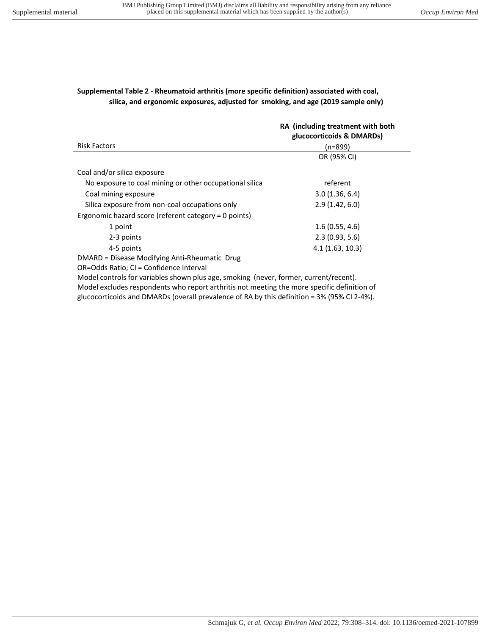## **Supplemental Table 2 - Rheumatoid arthritis (more specific definition) associated with coal, silica, and ergonomic exposures, adjusted for smoking, and age (2019 sample only)**

|                                                         | RA (including treatment with both<br>glucocorticoids & DMARDs) |
|---------------------------------------------------------|----------------------------------------------------------------|
| <b>Risk Factors</b>                                     | (n=899)                                                        |
|                                                         | OR (95% CI)                                                    |
| Coal and/or silica exposure                             |                                                                |
| No exposure to coal mining or other occupational silica | referent                                                       |
| Coal mining exposure                                    | 3.0(1.36, 6.4)                                                 |
| Silica exposure from non-coal occupations only          | 2.9(1.42, 6.0)                                                 |
| Ergonomic hazard score (referent category = 0 points)   |                                                                |
| 1 point                                                 | 1.6(0.55, 4.6)                                                 |
| 2-3 points                                              | 2.3(0.93, 5.6)                                                 |
| 4-5 points                                              | 4.1(1.63, 10.3)                                                |

DMARD = Disease Modifying Anti-Rheumatic Drug

OR=Odds Ratio; CI = Confidence Interval

Model controls for variables shown plus age, smoking (never, former, current/recent). Model excludes respondents who report arthritis not meeting the more specific definition of glucocorticoids and DMARDs (overall prevalence of RA by this definition = 3% (95% CI 2-4%).